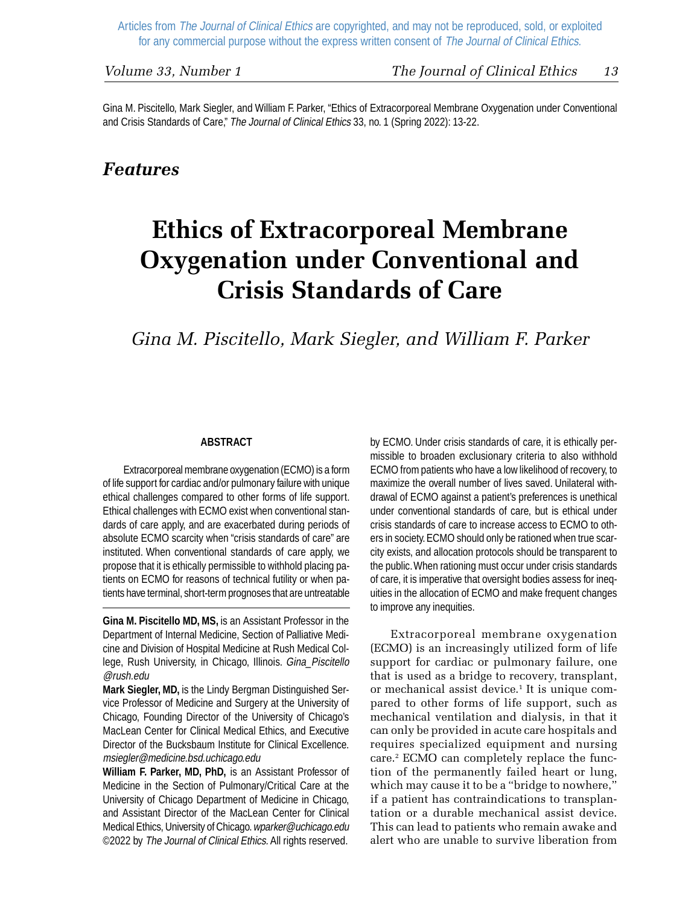Gina M. Piscitello, Mark Siegler, and William F. Parker, "Ethics of Extracorporeal Membrane Oxygenation under Conventional and Crisis Standards of Care," The Journal of Clinical Ethics 33, no. 1 (Spring 2022): 13-22.

## *Features*

# **Ethics of Extracorporeal Membrane Oxygenation under Conventional and Crisis Standards of Care**

# *Gina M. Piscitello, Mark Siegler, and William F. Parker*

#### **ABSTRACT**

Extracorporeal membrane oxygenation (ECMO) is a form of life support for cardiac and/or pulmonary failure with unique ethical challenges compared to other forms of life support. Ethical challenges with ECMO exist when conventional standards of care apply, and are exacerbated during periods of absolute ECMO scarcity when "crisis standards of care" are instituted. When conventional standards of care apply, we propose that it is ethically permissible to withhold placing patients on ECMO for reasons of technical futility or when patients have terminal, short-term prognoses that are untreatable

**Gina M. Piscitello MD, MS,** is an Assistant Professor in the Department of Internal Medicine, Section of Palliative Medicine and Division of Hospital Medicine at Rush Medical College, Rush University, in Chicago, Illinois. Gina\_Piscitello @rush.edu

**Mark Siegler, MD,** is the Lindy Bergman Distinguished Service Professor of Medicine and Surgery at the University of Chicago, Founding Director of the University of Chicago's MacLean Center for Clinical Medical Ethics, and Executive Director of the Bucksbaum Institute for Clinical Excellence. msiegler@medicine.bsd.uchicago.edu

**William F. Parker, MD, PhD,** is an Assistant Professor of Medicine in the Section of Pulmonary/Critical Care at the University of Chicago Department of Medicine in Chicago, and Assistant Director of the MacLean Center for Clinical Medical Ethics, University of Chicago. wparker@uchicago.edu ©2022 by The Journal of Clinical Ethics. All rights reserved.

by ECMO. Under crisis standards of care, it is ethically permissible to broaden exclusionary criteria to also withhold ECMO from patients who have a low likelihood of recovery, to maximize the overall number of lives saved. Unilateral withdrawal of ECMO against a patient's preferences is unethical under conventional standards of care, but is ethical under crisis standards of care to increase access to ECMO to others in society. ECMO should only be rationed when true scarcity exists, and allocation protocols should be transparent to the public. When rationing must occur under crisis standards of care, it is imperative that oversight bodies assess for inequities in the allocation of ECMO and make frequent changes to improve any inequities.

Extracorporeal membrane oxygenation (ECMO) is an increasingly utilized form of life support for cardiac or pulmonary failure, one that is used as a bridge to recovery, transplant, or mechanical assist device.1 It is unique compared to other forms of life support, such as mechanical ventilation and dialysis, in that it can only be provided in acute care hospitals and requires specialized equipment and nursing care.2 ECMO can completely replace the function of the permanently failed heart or lung, which may cause it to be a "bridge to nowhere," if a patient has contraindications to transplantation or a durable mechanical assist device. This can lead to patients who remain awake and alert who are unable to survive liberation from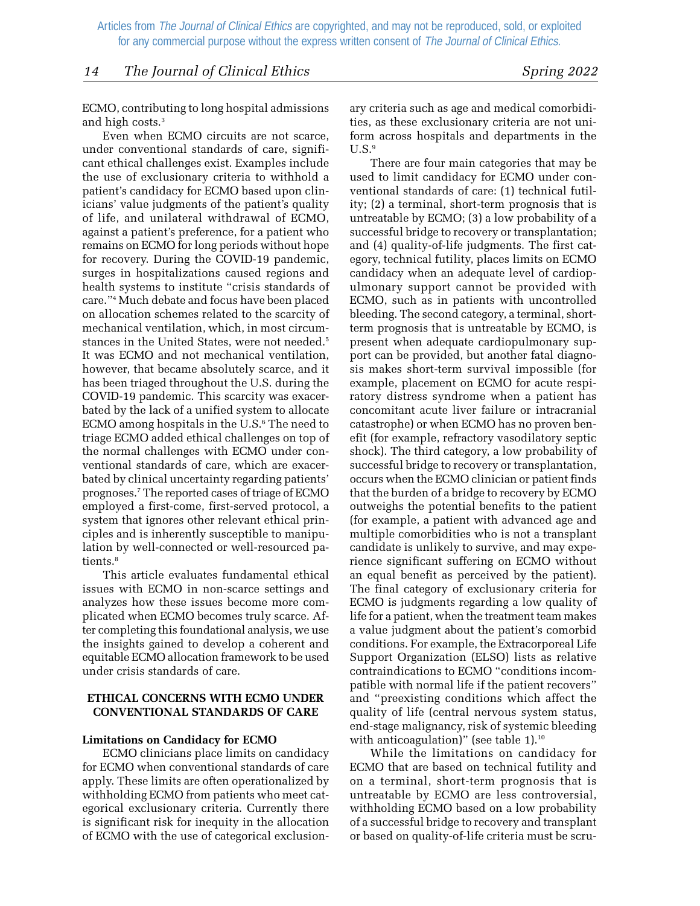*14 The Journal of Clinical Ethics Spring 2022*

ECMO, contributing to long hospital admissions and high costs.<sup>3</sup>

Even when ECMO circuits are not scarce, under conventional standards of care, significant ethical challenges exist. Examples include the use of exclusionary criteria to withhold a patient's candidacy for ECMO based upon clinicians' value judgments of the patient's quality of life, and unilateral withdrawal of ECMO, against a patient's preference, for a patient who remains on ECMO for long periods without hope for recovery. During the COVID-19 pandemic, surges in hospitalizations caused regions and health systems to institute "crisis standards of care."4 Much debate and focus have been placed on allocation schemes related to the scarcity of mechanical ventilation, which, in most circumstances in the United States, were not needed.5 It was ECMO and not mechanical ventilation, however, that became absolutely scarce, and it has been triaged throughout the U.S. during the COVID-19 pandemic. This scarcity was exacerbated by the lack of a unified system to allocate ECMO among hospitals in the U.S.<sup>6</sup> The need to triage ECMO added ethical challenges on top of the normal challenges with ECMO under conventional standards of care, which are exacerbated by clinical uncertainty regarding patients' prognoses.7 The reported cases of triage of ECMO employed a first-come, first-served protocol, a system that ignores other relevant ethical principles and is inherently susceptible to manipulation by well-connected or well-resourced patients.<sup>8</sup>

This article evaluates fundamental ethical issues with ECMO in non-scarce settings and analyzes how these issues become more complicated when ECMO becomes truly scarce. After completing this foundational analysis, we use the insights gained to develop a coherent and equitable ECMO allocation framework to be used under crisis standards of care.

#### **ETHICAL CONCERNS WITH ECMO UNDER CONVENTIONAL STANDARDS OF CARE**

#### **Limitations on Candidacy for ECMO**

ECMO clinicians place limits on candidacy for ECMO when conventional standards of care apply. These limits are often operationalized by withholding ECMO from patients who meet categorical exclusionary criteria. Currently there is significant risk for inequity in the allocation of ECMO with the use of categorical exclusionary criteria such as age and medical comorbidities, as these exclusionary criteria are not uniform across hospitals and departments in the  $U.S.^9$ 

There are four main categories that may be used to limit candidacy for ECMO under conventional standards of care: (1) technical futility; (2) a terminal, short-term prognosis that is untreatable by ECMO; (3) a low probability of a successful bridge to recovery or transplantation; and (4) quality-of-life judgments. The first category, technical futility, places limits on ECMO candidacy when an adequate level of cardiopulmonary support cannot be provided with ECMO, such as in patients with uncontrolled bleeding. The second category, a terminal, shortterm prognosis that is untreatable by ECMO, is present when adequate cardiopulmonary support can be provided, but another fatal diagnosis makes short-term survival impossible (for example, placement on ECMO for acute respiratory distress syndrome when a patient has concomitant acute liver failure or intracranial catastrophe) or when ECMO has no proven benefit (for example, refractory vasodilatory septic shock). The third category, a low probability of successful bridge to recovery or transplantation, occurs when the ECMO clinician or patient finds that the burden of a bridge to recovery by ECMO outweighs the potential benefits to the patient (for example, a patient with advanced age and multiple comorbidities who is not a transplant candidate is unlikely to survive, and may experience significant suffering on ECMO without an equal benefit as perceived by the patient). The final category of exclusionary criteria for ECMO is judgments regarding a low quality of life for a patient, when the treatment team makes a value judgment about the patient's comorbid conditions. For example, the Extracorporeal Life Support Organization (ELSO) lists as relative contraindications to ECMO "conditions incompatible with normal life if the patient recovers" and "preexisting conditions which affect the quality of life (central nervous system status, end-stage malignancy, risk of systemic bleeding with anticoagulation)" (see table 1).<sup>10</sup>

While the limitations on candidacy for ECMO that are based on technical futility and on a terminal, short-term prognosis that is untreatable by ECMO are less controversial, withholding ECMO based on a low probability of a successful bridge to recovery and transplant or based on quality-of-life criteria must be scru-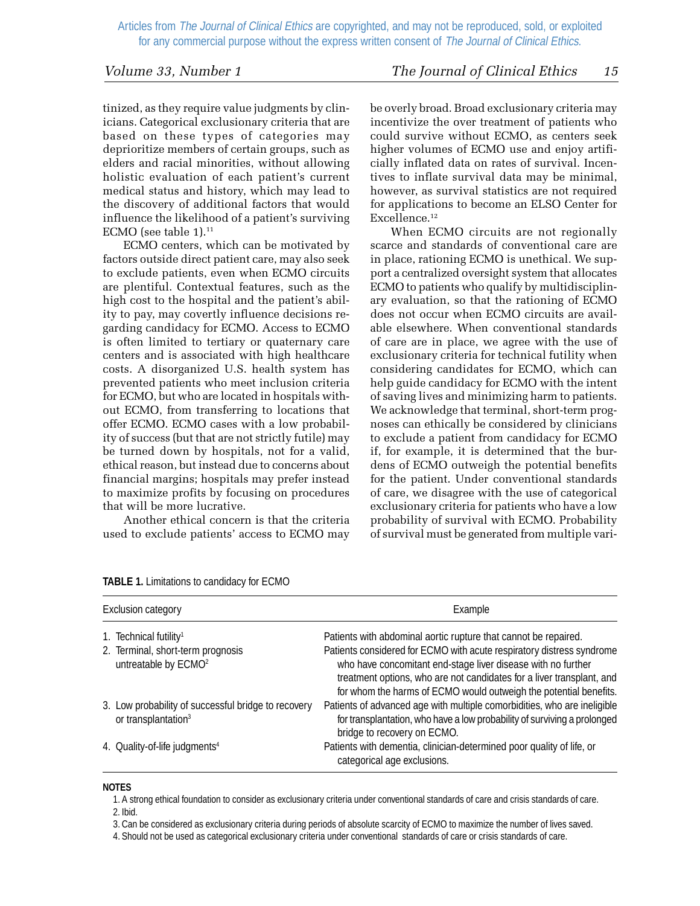#### *Volume 33, Number 1 The Journal of Clinical Ethics 15*

tinized, as they require value judgments by clinicians. Categorical exclusionary criteria that are based on these types of categories may deprioritize members of certain groups, such as elders and racial minorities, without allowing holistic evaluation of each patient's current medical status and history, which may lead to the discovery of additional factors that would influence the likelihood of a patient's surviving ECMO (see table  $1$ ).<sup>11</sup>

ECMO centers, which can be motivated by factors outside direct patient care, may also seek to exclude patients, even when ECMO circuits are plentiful. Contextual features, such as the high cost to the hospital and the patient's ability to pay, may covertly influence decisions regarding candidacy for ECMO. Access to ECMO is often limited to tertiary or quaternary care centers and is associated with high healthcare costs. A disorganized U.S. health system has prevented patients who meet inclusion criteria for ECMO, but who are located in hospitals without ECMO, from transferring to locations that offer ECMO. ECMO cases with a low probability of success (but that are not strictly futile) may be turned down by hospitals, not for a valid, ethical reason, but instead due to concerns about financial margins; hospitals may prefer instead to maximize profits by focusing on procedures that will be more lucrative.

Another ethical concern is that the criteria used to exclude patients' access to ECMO may be overly broad. Broad exclusionary criteria may incentivize the over treatment of patients who could survive without ECMO, as centers seek higher volumes of ECMO use and enjoy artificially inflated data on rates of survival. Incentives to inflate survival data may be minimal, however, as survival statistics are not required for applications to become an ELSO Center for Excellence.<sup>12</sup>

When ECMO circuits are not regionally scarce and standards of conventional care are in place, rationing ECMO is unethical. We support a centralized oversight system that allocates ECMO to patients who qualify by multidisciplinary evaluation, so that the rationing of ECMO does not occur when ECMO circuits are available elsewhere. When conventional standards of care are in place, we agree with the use of exclusionary criteria for technical futility when considering candidates for ECMO, which can help guide candidacy for ECMO with the intent of saving lives and minimizing harm to patients. We acknowledge that terminal, short-term prognoses can ethically be considered by clinicians to exclude a patient from candidacy for ECMO if, for example, it is determined that the burdens of ECMO outweigh the potential benefits for the patient. Under conventional standards of care, we disagree with the use of categorical exclusionary criteria for patients who have a low probability of survival with ECMO. Probability of survival must be generated from multiple vari-

| Exclusion category |                                                                                        | Example                                                                                                                                                                                                                                                                             |  |
|--------------------|----------------------------------------------------------------------------------------|-------------------------------------------------------------------------------------------------------------------------------------------------------------------------------------------------------------------------------------------------------------------------------------|--|
|                    | 1. Technical futility <sup>1</sup>                                                     | Patients with abdominal aortic rupture that cannot be repaired.                                                                                                                                                                                                                     |  |
|                    | 2. Terminal, short-term prognosis<br>untreatable by ECMO <sup>2</sup>                  | Patients considered for ECMO with acute respiratory distress syndrome<br>who have concomitant end-stage liver disease with no further<br>treatment options, who are not candidates for a liver transplant, and<br>for whom the harms of ECMO would outweigh the potential benefits. |  |
|                    | 3. Low probability of successful bridge to recovery<br>or transplantation <sup>3</sup> | Patients of advanced age with multiple comorbidities, who are ineligible<br>for transplantation, who have a low probability of surviving a prolonged<br>bridge to recovery on ECMO.                                                                                                 |  |
|                    | 4. Quality-of-life judgments <sup>4</sup>                                              | Patients with dementia, clinician-determined poor quality of life, or<br>categorical age exclusions.                                                                                                                                                                                |  |

#### **TABLE 1.** Limitations to candidacy for ECMO

#### **NOTES**

1. A strong ethical foundation to consider as exclusionary criteria under conventional standards of care and crisis standards of care. 2. Ibid.

3. Can be considered as exclusionary criteria during periods of absolute scarcity of ECMO to maximize the number of lives saved.

4. Should not be used as categorical exclusionary criteria under conventional standards of care or crisis standards of care.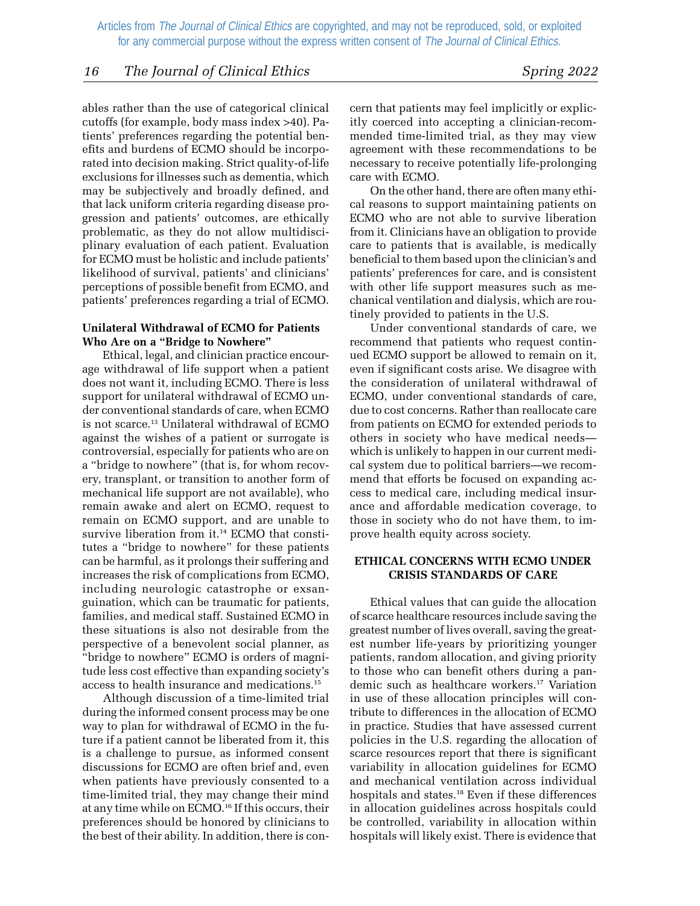#### *16 The Journal of Clinical Ethics Spring 2022*

ables rather than the use of categorical clinical cutoffs (for example, body mass index >40). Patients' preferences regarding the potential benefits and burdens of ECMO should be incorporated into decision making. Strict quality-of-life exclusions for illnesses such as dementia, which may be subjectively and broadly defined, and that lack uniform criteria regarding disease progression and patients' outcomes, are ethically problematic, as they do not allow multidisciplinary evaluation of each patient. Evaluation for ECMO must be holistic and include patients' likelihood of survival, patients' and clinicians' perceptions of possible benefit from ECMO, and patients' preferences regarding a trial of ECMO.

#### **Unilateral Withdrawal of ECMO for Patients Who Are on a "Bridge to Nowhere"**

Ethical, legal, and clinician practice encourage withdrawal of life support when a patient does not want it, including ECMO. There is less support for unilateral withdrawal of ECMO under conventional standards of care, when ECMO is not scarce.<sup>13</sup> Unilateral withdrawal of ECMO against the wishes of a patient or surrogate is controversial, especially for patients who are on a "bridge to nowhere" (that is, for whom recovery, transplant, or transition to another form of mechanical life support are not available), who remain awake and alert on ECMO, request to remain on ECMO support, and are unable to survive liberation from it.<sup>14</sup> ECMO that constitutes a "bridge to nowhere" for these patients can be harmful, as it prolongs their suffering and increases the risk of complications from ECMO, including neurologic catastrophe or exsanguination, which can be traumatic for patients, families, and medical staff. Sustained ECMO in these situations is also not desirable from the perspective of a benevolent social planner, as "bridge to nowhere" ECMO is orders of magnitude less cost effective than expanding society's access to health insurance and medications.15

Although discussion of a time-limited trial during the informed consent process may be one way to plan for withdrawal of ECMO in the future if a patient cannot be liberated from it, this is a challenge to pursue, as informed consent discussions for ECMO are often brief and, even when patients have previously consented to a time-limited trial, they may change their mind at any time while on ECMO.16 If this occurs, their preferences should be honored by clinicians to the best of their ability. In addition, there is concern that patients may feel implicitly or explicitly coerced into accepting a clinician-recommended time-limited trial, as they may view agreement with these recommendations to be necessary to receive potentially life-prolonging care with ECMO.

On the other hand, there are often many ethical reasons to support maintaining patients on ECMO who are not able to survive liberation from it. Clinicians have an obligation to provide care to patients that is available, is medically beneficial to them based upon the clinician's and patients' preferences for care, and is consistent with other life support measures such as mechanical ventilation and dialysis, which are routinely provided to patients in the U.S.

Under conventional standards of care, we recommend that patients who request continued ECMO support be allowed to remain on it, even if significant costs arise. We disagree with the consideration of unilateral withdrawal of ECMO, under conventional standards of care, due to cost concerns. Rather than reallocate care from patients on ECMO for extended periods to others in society who have medical needs which is unlikely to happen in our current medical system due to political barriers—we recommend that efforts be focused on expanding access to medical care, including medical insurance and affordable medication coverage, to those in society who do not have them, to improve health equity across society.

#### **ETHICAL CONCERNS WITH ECMO UNDER CRISIS STANDARDS OF CARE**

Ethical values that can guide the allocation of scarce healthcare resources include saving the greatest number of lives overall, saving the greatest number life-years by prioritizing younger patients, random allocation, and giving priority to those who can benefit others during a pandemic such as healthcare workers.<sup>17</sup> Variation in use of these allocation principles will contribute to differences in the allocation of ECMO in practice. Studies that have assessed current policies in the U.S. regarding the allocation of scarce resources report that there is significant variability in allocation guidelines for ECMO and mechanical ventilation across individual hospitals and states.<sup>18</sup> Even if these differences in allocation guidelines across hospitals could be controlled, variability in allocation within hospitals will likely exist. There is evidence that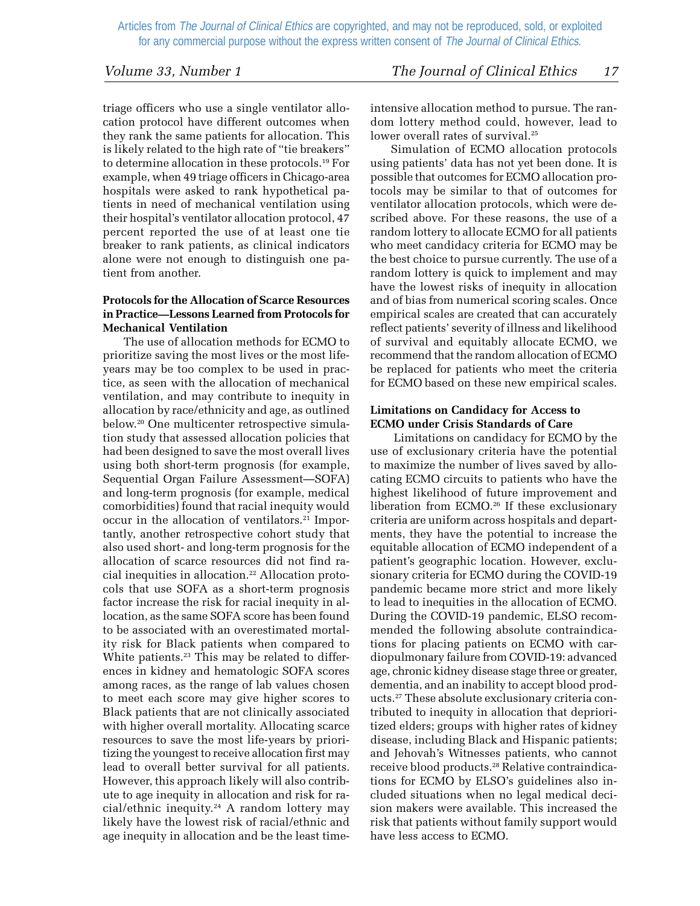triage officers who use a single ventilator allocation protocol have different outcomes when they rank the same patients for allocation. This is likely related to the high rate of "tie breakers" to determine allocation in these protocols.19 For example, when 49 triage officers in Chicago-area hospitals were asked to rank hypothetical patients in need of mechanical ventilation using their hospital's ventilator allocation protocol, 47 percent reported the use of at least one tie breaker to rank patients, as clinical indicators alone were not enough to distinguish one patient from another.

#### **Protocols for the Allocation of Scarce Resources in Practice—Lessons Learned from Protocols for Mechanical Ventilation**

The use of allocation methods for ECMO to prioritize saving the most lives or the most lifeyears may be too complex to be used in practice, as seen with the allocation of mechanical ventilation, and may contribute to inequity in allocation by race/ethnicity and age, as outlined below.20 One multicenter retrospective simulation study that assessed allocation policies that had been designed to save the most overall lives using both short-term prognosis (for example, Sequential Organ Failure Assessment—SOFA) and long-term prognosis (for example, medical comorbidities) found that racial inequity would occur in the allocation of ventilators.<sup>21</sup> Importantly, another retrospective cohort study that also used short- and long-term prognosis for the allocation of scarce resources did not find racial inequities in allocation.<sup>22</sup> Allocation protocols that use SOFA as a short-term prognosis factor increase the risk for racial inequity in allocation, as the same SOFA score has been found to be associated with an overestimated mortality risk for Black patients when compared to White patients.<sup>23</sup> This may be related to differences in kidney and hematologic SOFA scores among races, as the range of lab values chosen to meet each score may give higher scores to Black patients that are not clinically associated with higher overall mortality. Allocating scarce resources to save the most life-years by prioritizing the youngest to receive allocation first may lead to overall better survival for all patients. However, this approach likely will also contribute to age inequity in allocation and risk for racial/ethnic inequity.<sup>24</sup> A random lottery may likely have the lowest risk of racial/ethnic and age inequity in allocation and be the least timeintensive allocation method to pursue. The random lottery method could, however, lead to lower overall rates of survival.<sup>25</sup>

Simulation of ECMO allocation protocols using patients' data has not yet been done. It is possible that outcomes for ECMO allocation protocols may be similar to that of outcomes for ventilator allocation protocols, which were described above. For these reasons, the use of a random lottery to allocate ECMO for all patients who meet candidacy criteria for ECMO may be the best choice to pursue currently. The use of a random lottery is quick to implement and may have the lowest risks of inequity in allocation and of bias from numerical scoring scales. Once empirical scales are created that can accurately reflect patients' severity of illness and likelihood of survival and equitably allocate ECMO, we recommend that the random allocation of ECMO be replaced for patients who meet the criteria for ECMO based on these new empirical scales.

#### **Limitations on Candidacy for Access to ECMO under Crisis Standards of Care**

 Limitations on candidacy for ECMO by the use of exclusionary criteria have the potential to maximize the number of lives saved by allocating ECMO circuits to patients who have the highest likelihood of future improvement and liberation from ECMO.26 If these exclusionary criteria are uniform across hospitals and departments, they have the potential to increase the equitable allocation of ECMO independent of a patient's geographic location. However, exclusionary criteria for ECMO during the COVID-19 pandemic became more strict and more likely to lead to inequities in the allocation of ECMO. During the COVID-19 pandemic, ELSO recommended the following absolute contraindications for placing patients on ECMO with cardiopulmonary failure from COVID-19: advanced age, chronic kidney disease stage three or greater, dementia, and an inability to accept blood products.27 These absolute exclusionary criteria contributed to inequity in allocation that deprioritized elders; groups with higher rates of kidney disease, including Black and Hispanic patients; and Jehovah's Witnesses patients, who cannot receive blood products.28 Relative contraindications for ECMO by ELSO's guidelines also included situations when no legal medical decision makers were available. This increased the risk that patients without family support would have less access to ECMO.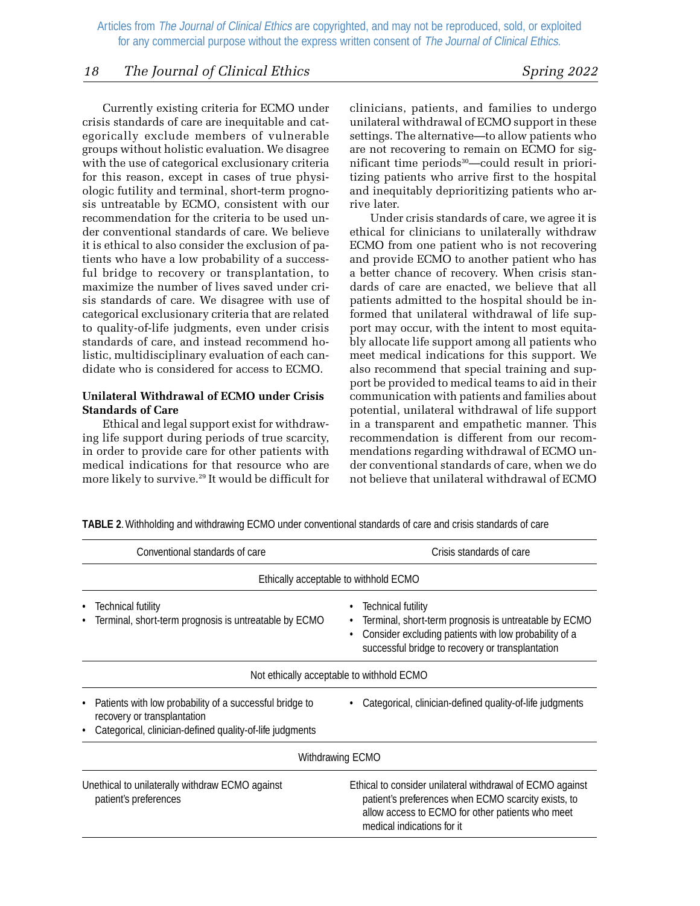#### *18 The Journal of Clinical Ethics Spring 2022*

Currently existing criteria for ECMO under crisis standards of care are inequitable and categorically exclude members of vulnerable groups without holistic evaluation. We disagree with the use of categorical exclusionary criteria for this reason, except in cases of true physiologic futility and terminal, short-term prognosis untreatable by ECMO, consistent with our recommendation for the criteria to be used under conventional standards of care. We believe it is ethical to also consider the exclusion of patients who have a low probability of a successful bridge to recovery or transplantation, to maximize the number of lives saved under crisis standards of care. We disagree with use of categorical exclusionary criteria that are related to quality-of-life judgments, even under crisis standards of care, and instead recommend holistic, multidisciplinary evaluation of each candidate who is considered for access to ECMO.

#### **Unilateral Withdrawal of ECMO under Crisis Standards of Care**

Ethical and legal support exist for withdrawing life support during periods of true scarcity, in order to provide care for other patients with medical indications for that resource who are more likely to survive.<sup>29</sup> It would be difficult for

clinicians, patients, and families to undergo unilateral withdrawal of ECMO support in these settings. The alternative—to allow patients who are not recovering to remain on ECMO for significant time periods<sup>30</sup>—could result in prioritizing patients who arrive first to the hospital and inequitably deprioritizing patients who arrive later.

Under crisis standards of care, we agree it is ethical for clinicians to unilaterally withdraw ECMO from one patient who is not recovering and provide ECMO to another patient who has a better chance of recovery. When crisis standards of care are enacted, we believe that all patients admitted to the hospital should be informed that unilateral withdrawal of life support may occur, with the intent to most equitably allocate life support among all patients who meet medical indications for this support. We also recommend that special training and support be provided to medical teams to aid in their communication with patients and families about potential, unilateral withdrawal of life support in a transparent and empathetic manner. This recommendation is different from our recommendations regarding withdrawal of ECMO under conventional standards of care, when we do not believe that unilateral withdrawal of ECMO

| Conventional standards of care                                                                                                                     | Crisis standards of care                                                                                                                                                                                               |
|----------------------------------------------------------------------------------------------------------------------------------------------------|------------------------------------------------------------------------------------------------------------------------------------------------------------------------------------------------------------------------|
|                                                                                                                                                    | Ethically acceptable to withhold ECMO                                                                                                                                                                                  |
| <b>Technical futility</b><br>Terminal, short-term prognosis is untreatable by ECMO                                                                 | <b>Technical futility</b><br>$\bullet$<br>Terminal, short-term prognosis is untreatable by ECMO<br>٠<br>Consider excluding patients with low probability of a<br>٠<br>successful bridge to recovery or transplantation |
|                                                                                                                                                    | Not ethically acceptable to withhold ECMO                                                                                                                                                                              |
| Patients with low probability of a successful bridge to<br>recovery or transplantation<br>Categorical, clinician-defined quality-of-life judgments | Categorical, clinician-defined quality-of-life judgments                                                                                                                                                               |
|                                                                                                                                                    | Withdrawing ECMO                                                                                                                                                                                                       |
| Unethical to unilaterally withdraw ECMO against<br>patient's preferences                                                                           | Ethical to consider unilateral withdrawal of ECMO against<br>patient's preferences when ECMO scarcity exists, to<br>allow access to ECMO for other patients who meet<br>medical indications for it                     |

**TABLE 2**. Withholding and withdrawing ECMO under conventional standards of care and crisis standards of care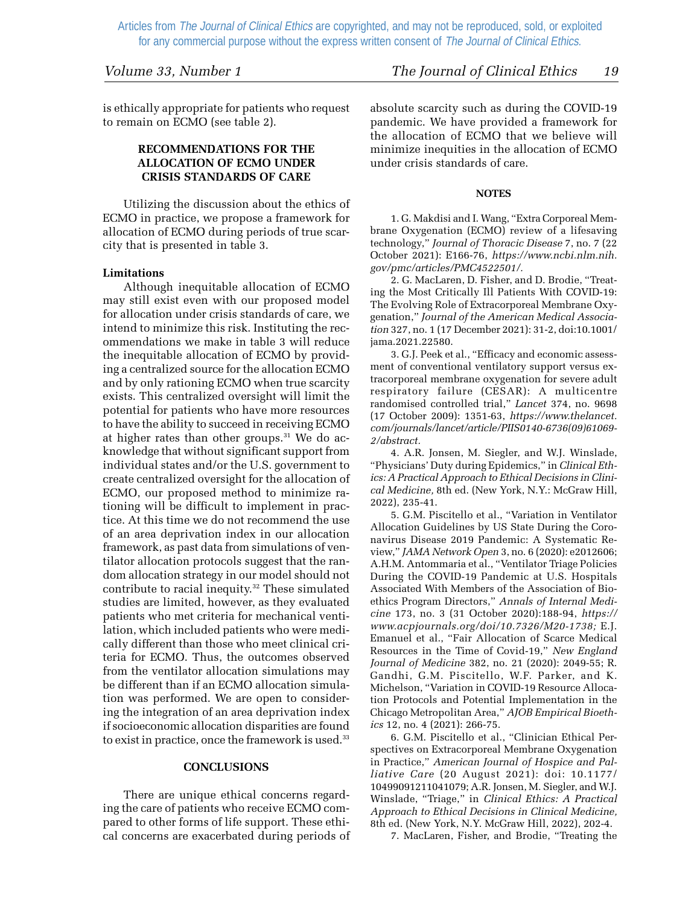is ethically appropriate for patients who request to remain on ECMO (see table 2).

#### **RECOMMENDATIONS FOR THE ALLOCATION OF ECMO UNDER CRISIS STANDARDS OF CARE**

Utilizing the discussion about the ethics of ECMO in practice, we propose a framework for allocation of ECMO during periods of true scarcity that is presented in table 3.

#### **Limitations**

Although inequitable allocation of ECMO may still exist even with our proposed model for allocation under crisis standards of care, we intend to minimize this risk. Instituting the recommendations we make in table 3 will reduce the inequitable allocation of ECMO by providing a centralized source for the allocation ECMO and by only rationing ECMO when true scarcity exists. This centralized oversight will limit the potential for patients who have more resources to have the ability to succeed in receiving ECMO at higher rates than other groups.<sup>31</sup> We do acknowledge that without significant support from individual states and/or the U.S. government to create centralized oversight for the allocation of ECMO, our proposed method to minimize rationing will be difficult to implement in practice. At this time we do not recommend the use of an area deprivation index in our allocation framework, as past data from simulations of ventilator allocation protocols suggest that the random allocation strategy in our model should not contribute to racial inequity.<sup>32</sup> These simulated studies are limited, however, as they evaluated patients who met criteria for mechanical ventilation, which included patients who were medically different than those who meet clinical criteria for ECMO. Thus, the outcomes observed from the ventilator allocation simulations may be different than if an ECMO allocation simulation was performed. We are open to considering the integration of an area deprivation index if socioeconomic allocation disparities are found to exist in practice, once the framework is used.<sup>33</sup>

#### **CONCLUSIONS**

There are unique ethical concerns regarding the care of patients who receive ECMO compared to other forms of life support. These ethical concerns are exacerbated during periods of absolute scarcity such as during the COVID-19 pandemic. We have provided a framework for the allocation of ECMO that we believe will minimize inequities in the allocation of ECMO under crisis standards of care.

#### **NOTES**

1. G. Makdisi and I. Wang, "Extra Corporeal Membrane Oxygenation (ECMO) review of a lifesaving technology," *Journal of Thoracic Disease* 7, no. 7 (22 October 2021): E166-76, *https://www.ncbi.nlm.nih. gov/pmc/articles/PMC4522501/.*

2. G. MacLaren, D. Fisher, and D. Brodie, "Treating the Most Critically Ill Patients With COVID-19: The Evolving Role of Extracorporeal Membrane Oxygenation," *Journal of the American Medical Association* 327, no. 1 (17 December 2021): 31-2, doi:10.1001/ jama.2021.22580.

3. G.J. Peek et al., "Efficacy and economic assessment of conventional ventilatory support versus extracorporeal membrane oxygenation for severe adult respiratory failure (CESAR): A multicentre randomised controlled trial," *Lancet* 374, no. 9698 (17 October 2009): 1351-63, *https://www.thelancet. com/journals/lancet/article/PIIS0140-6736(09)61069- 2/abstract.*

4. A.R. Jonsen, M. Siegler, and W.J. Winslade, "Physicians' Duty during Epidemics," in *Clinical Ethics: A Practical Approach to Ethical Decisions in Clinical Medicine,* 8th ed. (New York, N.Y.: McGraw Hill, 2022), 235-41.

5. G.M. Piscitello et al., "Variation in Ventilator Allocation Guidelines by US State During the Coronavirus Disease 2019 Pandemic: A Systematic Review," *JAMA Network Open* 3, no. 6 (2020): e2012606; A.H.M. Antommaria et al., "Ventilator Triage Policies During the COVID-19 Pandemic at U.S. Hospitals Associated With Members of the Association of Bioethics Program Directors," *Annals of Internal Medicine* 173, no. 3 (31 October 2020):188-94, *https:// www.acpjournals.org/doi/10.7326/M20-1738;* E.J. Emanuel et al., "Fair Allocation of Scarce Medical Resources in the Time of Covid-19," *New England Journal of Medicine* 382, no. 21 (2020): 2049-55; R. Gandhi, G.M. Piscitello, W.F. Parker, and K. Michelson, "Variation in COVID-19 Resource Allocation Protocols and Potential Implementation in the Chicago Metropolitan Area," *AJOB Empirical Bioethics* 12, no. 4 (2021): 266-75.

6. G.M. Piscitello et al., "Clinician Ethical Perspectives on Extracorporeal Membrane Oxygenation in Practice," *American Journal of Hospice and Palliative Care* (20 August 2021): doi: 10.1177/ 10499091211041079; A.R. Jonsen, M. Siegler, and W.J. Winslade, "Triage," in *Clinical Ethics: A Practical Approach to Ethical Decisions in Clinical Medicine,* 8th ed. (New York, N.Y. McGraw Hill, 2022), 202-4.

7. MacLaren, Fisher, and Brodie, "Treating the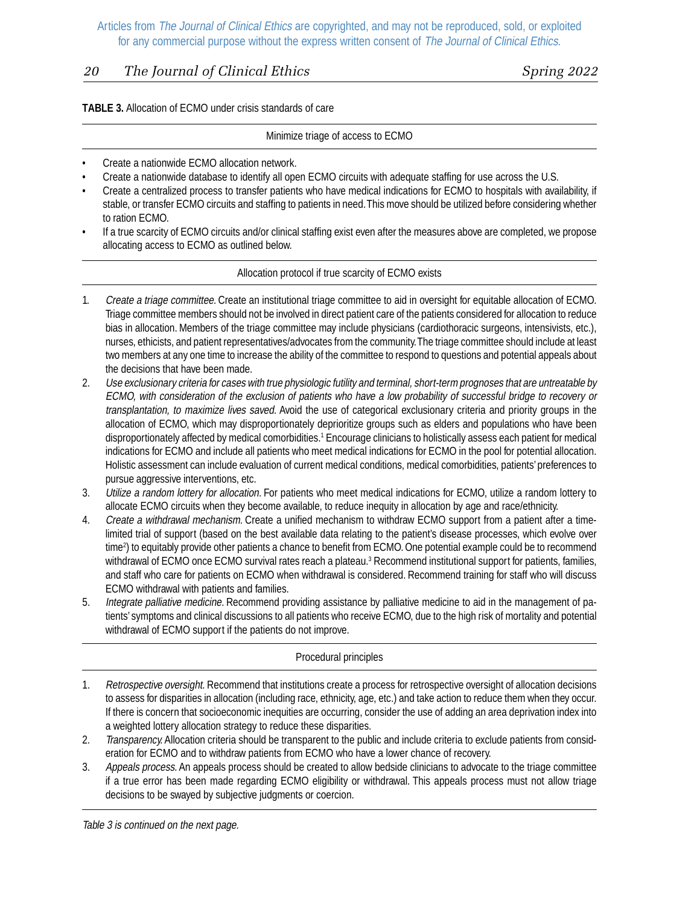### *20 The Journal of Clinical Ethics Spring 2022*

#### **TABLE 3.** Allocation of ECMO under crisis standards of care

#### Minimize triage of access to ECMO

- Create a nationwide ECMO allocation network.
- Create a nationwide database to identify all open ECMO circuits with adequate staffing for use across the U.S.
- Create a centralized process to transfer patients who have medical indications for ECMO to hospitals with availability, if stable, or transfer ECMO circuits and staffing to patients in need. This move should be utilized before considering whether to ration ECMO.
- If a true scarcity of ECMO circuits and/or clinical staffing exist even after the measures above are completed, we propose allocating access to ECMO as outlined below.

#### Allocation protocol if true scarcity of ECMO exists

- 1. Create a triage committee. Create an institutional triage committee to aid in oversight for equitable allocation of ECMO. Triage committee members should not be involved in direct patient care of the patients considered for allocation to reduce bias in allocation. Members of the triage committee may include physicians (cardiothoracic surgeons, intensivists, etc.), nurses, ethicists, and patient representatives/advocates from the community. The triage committee should include at least two members at any one time to increase the ability of the committee to respond to questions and potential appeals about the decisions that have been made.
- 2. Use exclusionary criteria for cases with true physiologic futility and terminal, short-term prognoses that are untreatable by ECMO, with consideration of the exclusion of patients who have a low probability of successful bridge to recovery or transplantation, to maximize lives saved. Avoid the use of categorical exclusionary criteria and priority groups in the allocation of ECMO, which may disproportionately deprioritize groups such as elders and populations who have been disproportionately affected by medical comorbidities.1 Encourage clinicians to holistically assess each patient for medical indications for ECMO and include all patients who meet medical indications for ECMO in the pool for potential allocation. Holistic assessment can include evaluation of current medical conditions, medical comorbidities, patients' preferences to pursue aggressive interventions, etc.
- 3. Utilize a random lottery for allocation. For patients who meet medical indications for ECMO, utilize a random lottery to allocate ECMO circuits when they become available, to reduce inequity in allocation by age and race/ethnicity.
- 4. Create a withdrawal mechanism. Create a unified mechanism to withdraw ECMO support from a patient after a timelimited trial of support (based on the best available data relating to the patient's disease processes, which evolve over time2 ) to equitably provide other patients a chance to benefit from ECMO. One potential example could be to recommend withdrawal of ECMO once ECMO survival rates reach a plateau.<sup>3</sup> Recommend institutional support for patients, families, and staff who care for patients on ECMO when withdrawal is considered. Recommend training for staff who will discuss ECMO withdrawal with patients and families.
- 5. Integrate palliative medicine. Recommend providing assistance by palliative medicine to aid in the management of patients' symptoms and clinical discussions to all patients who receive ECMO, due to the high risk of mortality and potential withdrawal of ECMO support if the patients do not improve.

#### Procedural principles

- 1. Retrospective oversight. Recommend that institutions create a process for retrospective oversight of allocation decisions to assess for disparities in allocation (including race, ethnicity, age, etc.) and take action to reduce them when they occur. If there is concern that socioeconomic inequities are occurring, consider the use of adding an area deprivation index into a weighted lottery allocation strategy to reduce these disparities.
- 2. Transparency. Allocation criteria should be transparent to the public and include criteria to exclude patients from consideration for ECMO and to withdraw patients from ECMO who have a lower chance of recovery.
- 3. Appeals process. An appeals process should be created to allow bedside clinicians to advocate to the triage committee if a true error has been made regarding ECMO eligibility or withdrawal. This appeals process must not allow triage decisions to be swayed by subjective judgments or coercion.

Table 3 is continued on the next page.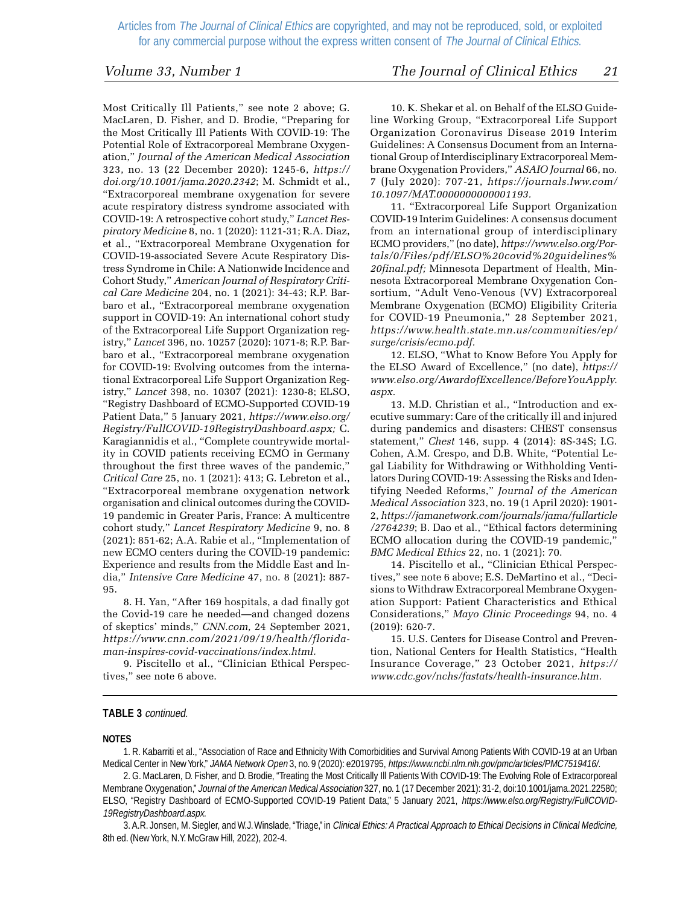Most Critically Ill Patients," see note 2 above; G. MacLaren, D. Fisher, and D. Brodie, "Preparing for the Most Critically Ill Patients With COVID-19: The Potential Role of Extracorporeal Membrane Oxygenation," *Journal of the American Medical Association* 323, no. 13 (22 December 2020): 1245-6, *https:// doi.org/10.1001/jama.2020.2342*; M. Schmidt et al., "Extracorporeal membrane oxygenation for severe acute respiratory distress syndrome associated with COVID-19: A retrospective cohort study," *Lancet Respiratory Medicine* 8, no. 1 (2020): 1121-31; R.A. Diaz, et al., "Extracorporeal Membrane Oxygenation for COVID-19-associated Severe Acute Respiratory Distress Syndrome in Chile: A Nationwide Incidence and Cohort Study," *American Journal of Respiratory Critical Care Medicine* 204, no. 1 (2021): 34-43; R.P. Barbaro et al., "Extracorporeal membrane oxygenation support in COVID-19: An international cohort study of the Extracorporeal Life Support Organization registry," *Lancet* 396, no. 10257 (2020): 1071-8; R.P. Barbaro et al., "Extracorporeal membrane oxygenation for COVID-19: Evolving outcomes from the international Extracorporeal Life Support Organization Registry," *Lancet* 398, no. 10307 (2021): 1230-8; ELSO, "Registry Dashboard of ECMO-Supported COVID-19 Patient Data," 5 January 2021, *https://www.elso.org/ Registry/FullCOVID-19RegistryDashboard.aspx;* C. Karagiannidis et al., "Complete countrywide mortality in COVID patients receiving ECMO in Germany throughout the first three waves of the pandemic," *Critical Care* 25, no. 1 (2021): 413; G. Lebreton et al., "Extracorporeal membrane oxygenation network organisation and clinical outcomes during the COVID-19 pandemic in Greater Paris, France: A multicentre cohort study," *Lancet Respiratory Medicine* 9, no. 8 (2021): 851-62; A.A. Rabie et al., "Implementation of new ECMO centers during the COVID-19 pandemic: Experience and results from the Middle East and India," *Intensive Care Medicine* 47, no. 8 (2021): 887- 95.

8. H. Yan, "After 169 hospitals, a dad finally got the Covid-19 care he needed—and changed dozens of skeptics' minds," *CNN.com,* 24 September 2021, *https://www.cnn.com/2021/09/19/health/floridaman-inspires-covid-vaccinations/index.html.*

9. Piscitello et al., "Clinician Ethical Perspectives," see note 6 above.

### *Volume 33, Number 1 The Journal of Clinical Ethics 21*

10. K. Shekar et al. on Behalf of the ELSO Guideline Working Group, "Extracorporeal Life Support Organization Coronavirus Disease 2019 Interim Guidelines: A Consensus Document from an International Group of Interdisciplinary Extracorporeal Membrane Oxygenation Providers," *ASAIO Journal* 66, no. 7 (July 2020): 707-21, *https://journals.lww.com/ 10.1097/MAT.0000000000001193.*

11. "Extracorporeal Life Support Organization COVID-19 Interim Guidelines: A consensus document from an international group of interdisciplinary ECMO providers," (no date), *https://www.elso.org/Portals/0/Files/pdf/ELSO%20covid%20guidelines% 20final.pdf;* Minnesota Department of Health, Minnesota Extracorporeal Membrane Oxygenation Consortium, "Adult Veno-Venous (VV) Extracorporeal Membrane Oxygenation (ECMO) Eligibility Criteria for COVID-19 Pneumonia," 28 September 2021, *https://www.health.state.mn.us/communities/ep/ surge/crisis/ecmo.pdf.*

12. ELSO, "What to Know Before You Apply for the ELSO Award of Excellence," (no date), *https:// www.elso.org/AwardofExcellence/BeforeYouApply. aspx.*

13. M.D. Christian et al., "Introduction and executive summary: Care of the critically ill and injured during pandemics and disasters: CHEST consensus statement," *Chest* 146, supp. 4 (2014): 8S-34S; I.G. Cohen, A.M. Crespo, and D.B. White, "Potential Legal Liability for Withdrawing or Withholding Ventilators During COVID-19: Assessing the Risks and Identifying Needed Reforms," *Journal of the American Medical Association* 323, no. 19 (1 April 2020): 1901- 2, *https://jamanetwork.com/journals/jama/fullarticle /2764239*; B. Dao et al., "Ethical factors determining ECMO allocation during the COVID-19 pandemic," *BMC Medical Ethics* 22, no. 1 (2021): 70.

14. Piscitello et al., "Clinician Ethical Perspectives," see note 6 above; E.S. DeMartino et al., "Decisions to Withdraw Extracorporeal Membrane Oxygenation Support: Patient Characteristics and Ethical Considerations," *Mayo Clinic Proceedings* 94, no. 4 (2019): 620-7.

15. U.S. Centers for Disease Control and Prevention, National Centers for Health Statistics, "Health Insurance Coverage," 23 October 2021, *https:// www.cdc.gov/nchs/fastats/health-insurance.htm.*

#### **TABLE 3** continued.

#### **NOTES**

1. R. Kabarriti et al., "Association of Race and Ethnicity With Comorbidities and Survival Among Patients With COVID-19 at an Urban Medical Center in New York," JAMA Network Open 3, no. 9 (2020): e2019795, https://www.ncbi.nlm.nih.gov/pmc/articles/PMC7519416/.

2. G. MacLaren, D. Fisher, and D. Brodie, "Treating the Most Critically Ill Patients With COVID-19: The Evolving Role of Extracorporeal Membrane Oxygenation," Journal of the American Medical Association 327, no. 1 (17 December 2021): 31-2, doi:10.1001/jama.2021.22580; ELSO, "Registry Dashboard of ECMO-Supported COVID-19 Patient Data," 5 January 2021, https://www.elso.org/Registry/FullCOVID-19RegistryDashboard.aspx.

3. A.R. Jonsen, M. Siegler, and W.J. Winslade, "Triage," in Clinical Ethics: A Practical Approach to Ethical Decisions in Clinical Medicine, 8th ed. (New York, N.Y. McGraw Hill, 2022), 202-4.